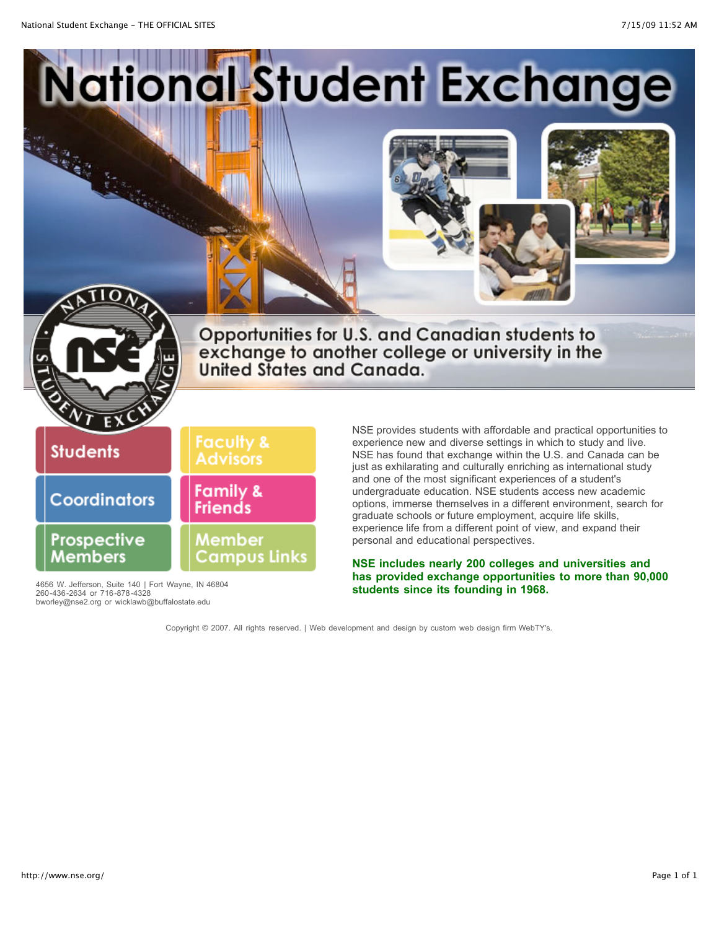

4656 W. Jefferson, Suite 140 | Fort Wayne, IN 46804<br>260-436-2634 or 716-878-4328<br>bworley@nse2.org or wicklawb@buffalostate.edu

**has provided exchange opportunities to more than 90,000**

Copyright © 2007. All rights reserved. | Web development and design by [custom web design firm](http://www.webtys.com/) WebTY's.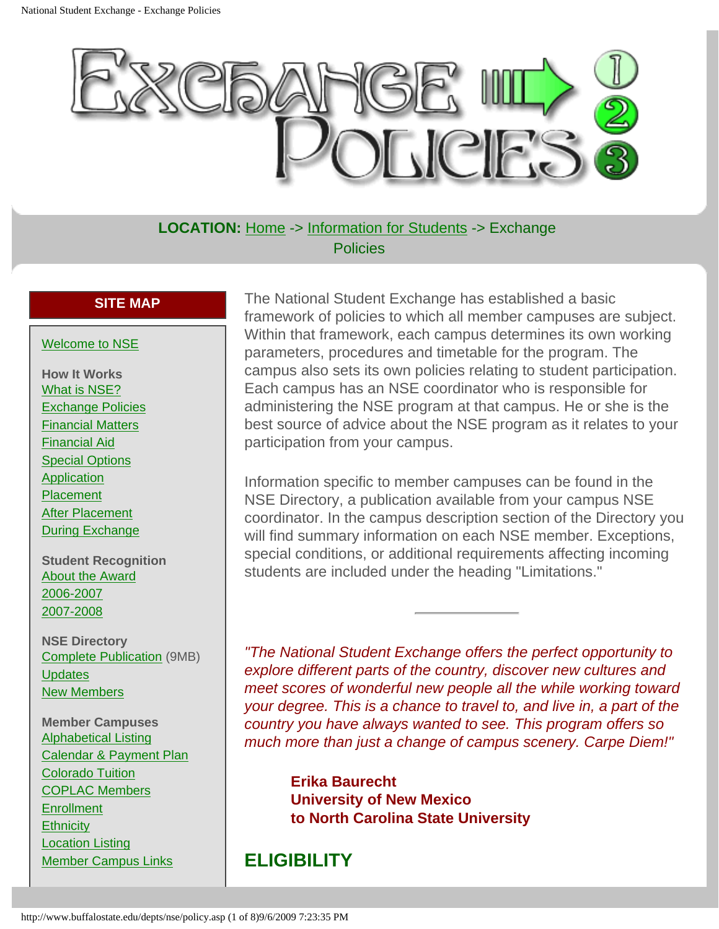<span id="page-1-0"></span>

**LOCATION:** [Home](http://www.nse.org/) -> [Information for Students](http://www.buffalostate.edu/depts/nse/learn.asp) -> Exchange **Policies** 

#### **SITE MAP**

#### [Welcome to NSE](http://www.buffalostate.edu/depts/nse/learn.asp)

**How It Works** [What is NSE?](http://www.buffalostate.edu/depts/nse/desc.asp) [Exchange Policies](#page-1-0) [Financial Matters](http://www.buffalostate.edu/depts/nse/financial.asp) [Financial Aid](http://www.buffalostate.edu/depts/nse/financialaid.asp) [Special Options](http://www.buffalostate.edu/depts/nse/opp.asp) [Application](http://www.buffalostate.edu/depts/nse/application.asp) **[Placement](http://www.buffalostate.edu/depts/nse/placement.asp)** [After Placement](http://www.buffalostate.edu/depts/nse/placemnt.asp) [During Exchange](http://www.buffalostate.edu/depts/nse/during.asp)

**Student Recognition** [About the Award](http://www.buffalostate.edu/depts/nse/sr.asp) [2006-2007](http://www.buffalostate.edu/depts/nse/sr2006.asp) [2007-2008](http://www.buffalostate.edu/depts/nse/sr2007.asp)

**NSE Directory** [Complete Publication](http://www.buffalostate.edu/depts/nse/docs/Directory.pdf) (9MB) **[Updates](http://www.nse.org/sdirectoryupdates.asp)** [New Members](http://www.nse.org/snewmembers.asp)

**Member Campuses** [Alphabetical Listing](http://www.buffalostate.edu/depts/nse/docs/AlphabeticalMemberList07.pdf) [Calendar & Payment Plan](http://www.buffalostate.edu/depts/nse/docs/CalendarAndPaymentPlan2007.pdf) [Colorado Tuition](http://www.buffalostate.edu/depts/nse/colorado.asp) [COPLAC Members](http://www.buffalostate.edu/depts/nse/coplac.asp) **[Enrollment](http://www.buffalostate.edu/depts/nse/docs/EnrollmentHighLowWeb07.pdf) [Ethnicity](http://www.buffalostate.edu/depts/nse/docs/EthnicityChart2007.pdf)** [Location Listing](http://www.buffalostate.edu/depts/nse/docs/MembersByLocation2007.pdf) [Member Campus Links](http://www.buffalostate.edu/depts/nse/memcam.asp)

The National Student Exchange has established a basic framework of policies to which all member campuses are subject. Within that framework, each campus determines its own working parameters, procedures and timetable for the program. The campus also sets its own policies relating to student participation. Each campus has an NSE coordinator who is responsible for administering the NSE program at that campus. He or she is the best source of advice about the NSE program as it relates to your participation from your campus.

Information specific to member campuses can be found in the NSE Directory, a publication available from your campus NSE coordinator. In the campus description section of the Directory you will find summary information on each NSE member. Exceptions, special conditions, or additional requirements affecting incoming students are included under the heading "Limitations."

*"The National Student Exchange offers the perfect opportunity to explore different parts of the country, discover new cultures and meet scores of wonderful new people all the while working toward your degree. This is a chance to travel to, and live in, a part of the country you have always wanted to see. This program offers so much more than just a change of campus scenery. Carpe Diem!"*

**Erika Baurecht University of New Mexico to North Carolina State University**

#### **ELIGIBILITY**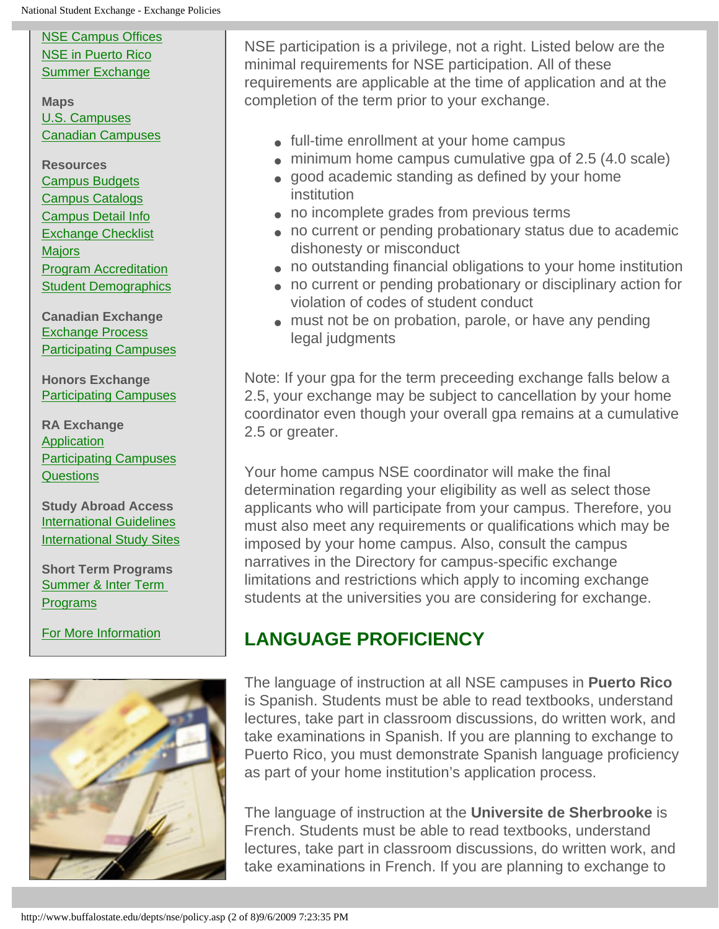[NSE Campus Offices](http://www.nse.org/offices.asp) [NSE in Puerto Rico](http://www.buffalostate.edu/depts/nse/puerto_rico.asp) [Summer Exchange](http://www.buffalostate.edu/depts/nse/docs/summer.pdf)

**Maps** [U.S. Campuses](http://www.nse.org/docs/NSE.MAP.pdf) [Canadian Campuses](http://www.nse.org/docs/NSE.CANADA.MAP.pdf)

**Resources** [Campus Budgets](http://www.nse.org/scampusbudgets.asp) [Campus Catalogs](http://www.nse.org/scatalogs.asp) [Campus Detail Info](http://www.nse.org/scampusdetail.asp) [Exchange Checklist](http://www.buffalostate.edu/depts/nse/checklist.asp) [Majors](http://www.nse.org/cmajors.asp) [Program Accreditation](http://www.buffalostate.edu/depts/nse/docs/Accreditation07.pdf) [Student Demographics](http://www.nse.org/ssurvey.asp)

**Canadian Exchange** [Exchange Process](http://www.nse.org/docs/CanadianExchangeProcedures07.pdf) [Participating Campuses](http://www.nse.org/canadian.asp)

**Honors Exchange** [Participating Campuses](http://www.nse.org/shonorsresponse.asp)

**RA Exchange** [Application](http://www.nse.org/docs/ra.doc) [Participating Campuses](http://www.nse.org/sraresponse.asp) **[Questions](http://www.buffalostate.edu/depts/nse/raquestions.asp)** 

**Study Abroad Access** [International Guidelines](http://www.buffalostate.edu/depts/nse/docs/InternationalProgramGuidelines07.pdf) [International Study Sites](http://www.nse.org/sinternationalaccess.asp)

**Short Term Programs** [Summer & Inter Term](http://www.nse.org/ssummeraccess.asp)  **[Programs](http://www.nse.org/ssummeraccess.asp)** 

[For More Information](http://www.buffalostate.edu/depts/nse/help.asp)



NSE participation is a privilege, not a right. Listed below are the minimal requirements for NSE participation. All of these requirements are applicable at the time of application and at the completion of the term prior to your exchange.

- full-time enrollment at your home campus
- minimum home campus cumulative gpa of 2.5 (4.0 scale)
- good academic standing as defined by your home institution
- no incomplete grades from previous terms
- no current or pending probationary status due to academic dishonesty or misconduct
- no outstanding financial obligations to your home institution
- no current or pending probationary or disciplinary action for violation of codes of student conduct
- must not be on probation, parole, or have any pending legal judgments

Note: If your gpa for the term preceeding exchange falls below a 2.5, your exchange may be subject to cancellation by your home coordinator even though your overall gpa remains at a cumulative 2.5 or greater.

Your home campus NSE coordinator will make the final determination regarding your eligibility as well as select those applicants who will participate from your campus. Therefore, you must also meet any requirements or qualifications which may be imposed by your home campus. Also, consult the campus narratives in the Directory for campus-specific exchange limitations and restrictions which apply to incoming exchange students at the universities you are considering for exchange.

# **LANGUAGE PROFICIENCY**

The language of instruction at all NSE campuses in **Puerto Rico** is Spanish. Students must be able to read textbooks, understand lectures, take part in classroom discussions, do written work, and take examinations in Spanish. If you are planning to exchange to Puerto Rico, you must demonstrate Spanish language proficiency as part of your home institution's application process.

The language of instruction at the **Universite de Sherbrooke** is French. Students must be able to read textbooks, understand lectures, take part in classroom discussions, do written work, and take examinations in French. If you are planning to exchange to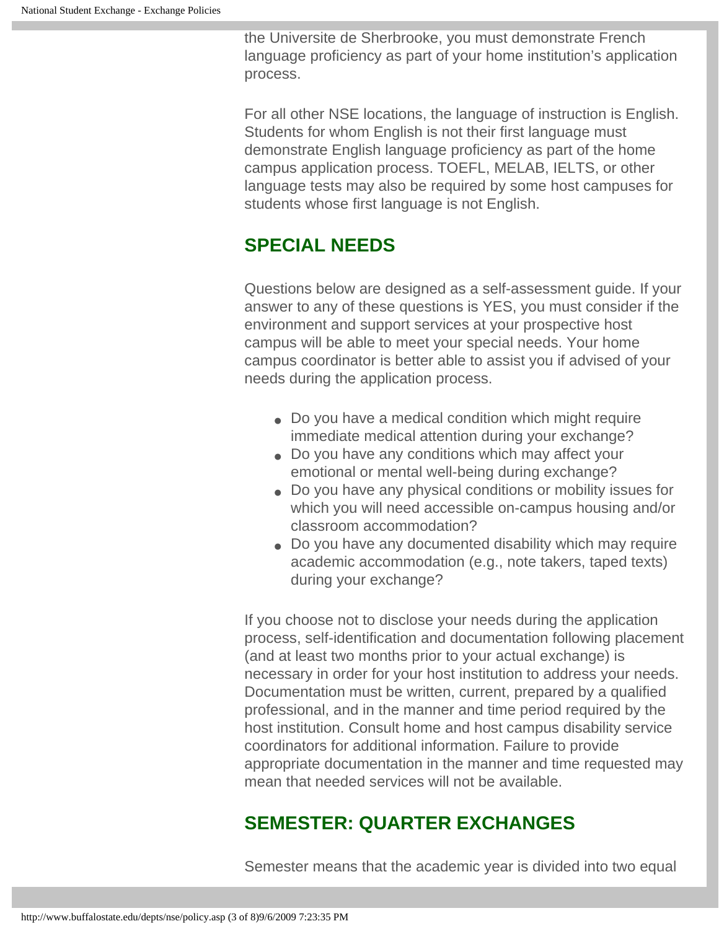the Universite de Sherbrooke, you must demonstrate French language proficiency as part of your home institution's application process.

For all other NSE locations, the language of instruction is English. Students for whom English is not their first language must demonstrate English language proficiency as part of the home campus application process. TOEFL, MELAB, IELTS, or other language tests may also be required by some host campuses for students whose first language is not English.

## **SPECIAL NEEDS**

Questions below are designed as a self-assessment guide. If your answer to any of these questions is YES, you must consider if the environment and support services at your prospective host campus will be able to meet your special needs. Your home campus coordinator is better able to assist you if advised of your needs during the application process.

- Do you have a medical condition which might require immediate medical attention during your exchange?
- Do you have any conditions which may affect your emotional or mental well-being during exchange?
- Do you have any physical conditions or mobility issues for which you will need accessible on-campus housing and/or classroom accommodation?
- Do you have any documented disability which may require academic accommodation (e.g., note takers, taped texts) during your exchange?

If you choose not to disclose your needs during the application process, self-identification and documentation following placement (and at least two months prior to your actual exchange) is necessary in order for your host institution to address your needs. Documentation must be written, current, prepared by a qualified professional, and in the manner and time period required by the host institution. Consult home and host campus disability service coordinators for additional information. Failure to provide appropriate documentation in the manner and time requested may mean that needed services will not be available.

## **SEMESTER: QUARTER EXCHANGES**

Semester means that the academic year is divided into two equal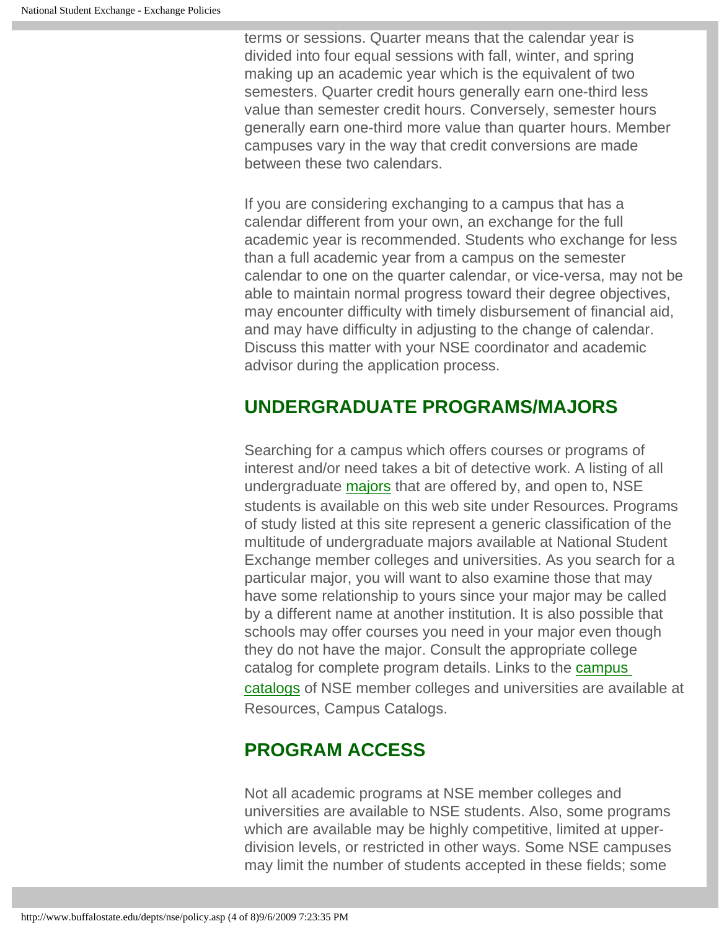terms or sessions. Quarter means that the calendar year is divided into four equal sessions with fall, winter, and spring making up an academic year which is the equivalent of two semesters. Quarter credit hours generally earn one-third less value than semester credit hours. Conversely, semester hours generally earn one-third more value than quarter hours. Member campuses vary in the way that credit conversions are made between these two calendars.

If you are considering exchanging to a campus that has a calendar different from your own, an exchange for the full academic year is recommended. Students who exchange for less than a full academic year from a campus on the semester calendar to one on the quarter calendar, or vice-versa, may not be able to maintain normal progress toward their degree objectives, may encounter difficulty with timely disbursement of financial aid, and may have difficulty in adjusting to the change of calendar. Discuss this matter with your NSE coordinator and academic advisor during the application process.

#### **UNDERGRADUATE PROGRAMS/MAJORS**

Searching for a campus which offers courses or programs of interest and/or need takes a bit of detective work. A listing of all undergraduate [majors](http://www.nse.org/cmajors.asp) that are offered by, and open to, NSE students is available on this web site under Resources. Programs of study listed at this site represent a generic classification of the multitude of undergraduate majors available at National Student Exchange member colleges and universities. As you search for a particular major, you will want to also examine those that may have some relationship to yours since your major may be called by a different name at another institution. It is also possible that schools may offer courses you need in your major even though they do not have the major. Consult the appropriate college catalog for complete program details. Links to the [campus](http://www.nse.org/scatalogs.asp) [catalogs](http://www.nse.org/scatalogs.asp) of NSE member colleges and universities are available at Resources, Campus Catalogs.

# **PROGRAM ACCESS**

Not all academic programs at NSE member colleges and universities are available to NSE students. Also, some programs which are available may be highly competitive, limited at upperdivision levels, or restricted in other ways. Some NSE campuses may limit the number of students accepted in these fields; some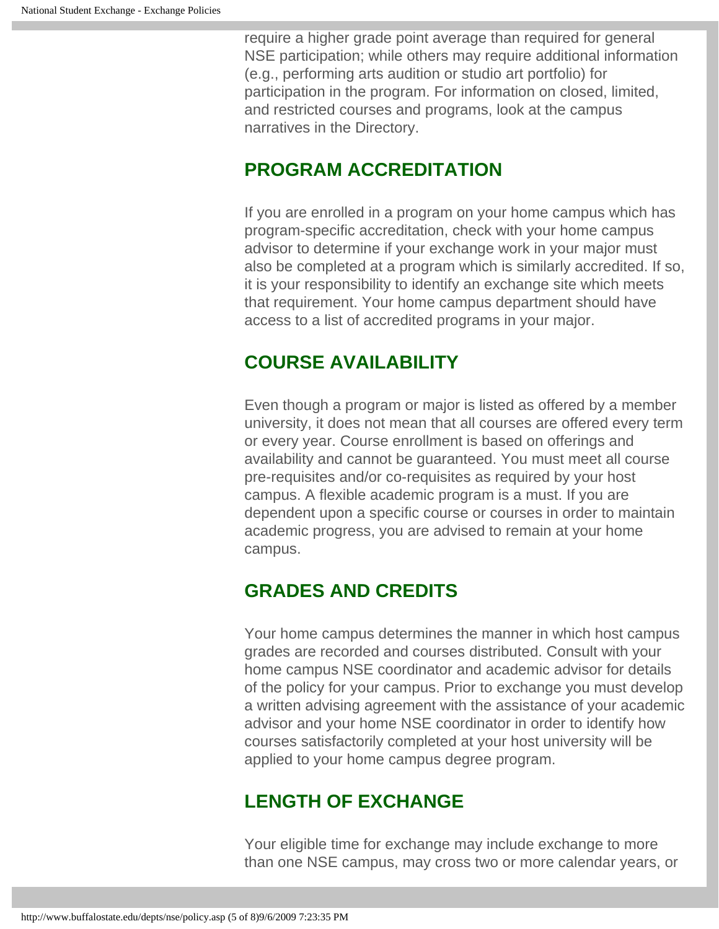require a higher grade point average than required for general NSE participation; while others may require additional information (e.g., performing arts audition or studio art portfolio) for participation in the program. For information on closed, limited, and restricted courses and programs, look at the campus narratives in the Directory.

#### **PROGRAM ACCREDITATION**

If you are enrolled in a program on your home campus which has program-specific accreditation, check with your home campus advisor to determine if your exchange work in your major must also be completed at a program which is similarly accredited. If so, it is your responsibility to identify an exchange site which meets that requirement. Your home campus department should have access to a list of accredited programs in your major.

#### **COURSE AVAILABILITY**

Even though a program or major is listed as offered by a member university, it does not mean that all courses are offered every term or every year. Course enrollment is based on offerings and availability and cannot be guaranteed. You must meet all course pre-requisites and/or co-requisites as required by your host campus. A flexible academic program is a must. If you are dependent upon a specific course or courses in order to maintain academic progress, you are advised to remain at your home campus.

## **GRADES AND CREDITS**

Your home campus determines the manner in which host campus grades are recorded and courses distributed. Consult with your home campus NSE coordinator and academic advisor for details of the policy for your campus. Prior to exchange you must develop a written advising agreement with the assistance of your academic advisor and your home NSE coordinator in order to identify how courses satisfactorily completed at your host university will be applied to your home campus degree program.

## **LENGTH OF EXCHANGE**

Your eligible time for exchange may include exchange to more than one NSE campus, may cross two or more calendar years, or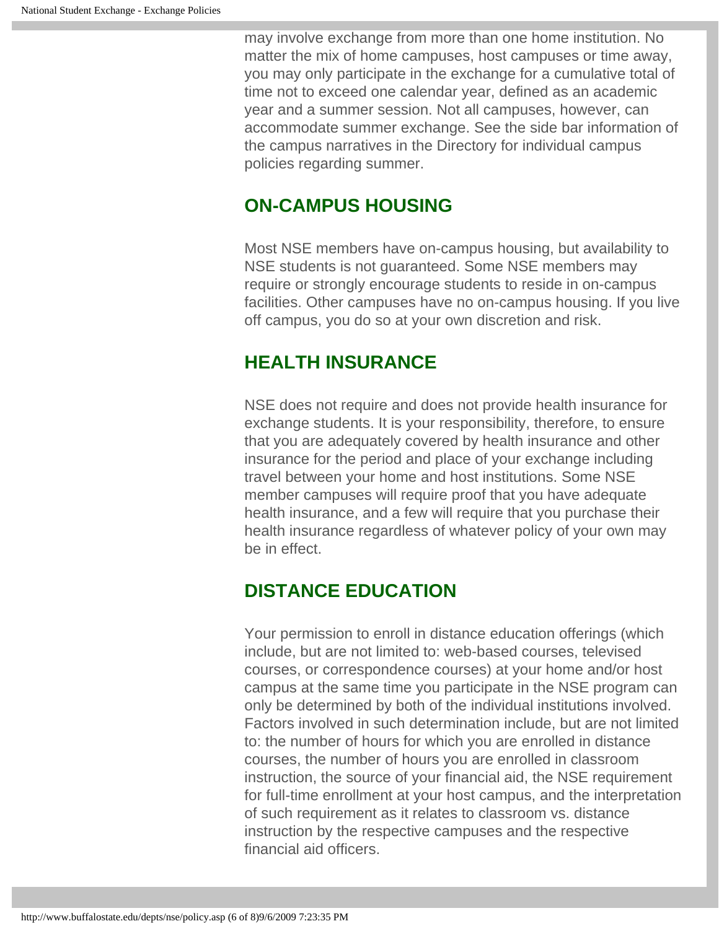may involve exchange from more than one home institution. No matter the mix of home campuses, host campuses or time away, you may only participate in the exchange for a cumulative total of time not to exceed one calendar year, defined as an academic year and a summer session. Not all campuses, however, can accommodate summer exchange. See the side bar information of the campus narratives in the Directory for individual campus policies regarding summer.

#### **ON-CAMPUS HOUSING**

Most NSE members have on-campus housing, but availability to NSE students is not guaranteed. Some NSE members may require or strongly encourage students to reside in on-campus facilities. Other campuses have no on-campus housing. If you live off campus, you do so at your own discretion and risk.

## **HEALTH INSURANCE**

NSE does not require and does not provide health insurance for exchange students. It is your responsibility, therefore, to ensure that you are adequately covered by health insurance and other insurance for the period and place of your exchange including travel between your home and host institutions. Some NSE member campuses will require proof that you have adequate health insurance, and a few will require that you purchase their health insurance regardless of whatever policy of your own may be in effect.

## **DISTANCE EDUCATION**

Your permission to enroll in distance education offerings (which include, but are not limited to: web-based courses, televised courses, or correspondence courses) at your home and/or host campus at the same time you participate in the NSE program can only be determined by both of the individual institutions involved. Factors involved in such determination include, but are not limited to: the number of hours for which you are enrolled in distance courses, the number of hours you are enrolled in classroom instruction, the source of your financial aid, the NSE requirement for full-time enrollment at your host campus, and the interpretation of such requirement as it relates to classroom vs. distance instruction by the respective campuses and the respective financial aid officers.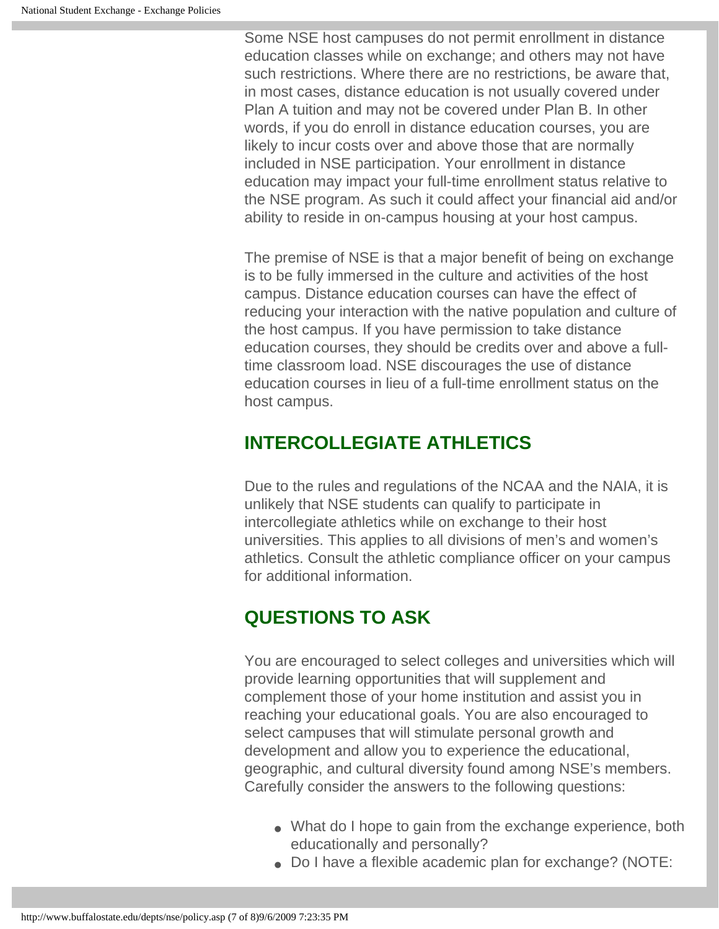Some NSE host campuses do not permit enrollment in distance education classes while on exchange; and others may not have such restrictions. Where there are no restrictions, be aware that, in most cases, distance education is not usually covered under Plan A tuition and may not be covered under Plan B. In other words, if you do enroll in distance education courses, you are likely to incur costs over and above those that are normally included in NSE participation. Your enrollment in distance education may impact your full-time enrollment status relative to the NSE program. As such it could affect your financial aid and/or ability to reside in on-campus housing at your host campus.

The premise of NSE is that a major benefit of being on exchange is to be fully immersed in the culture and activities of the host campus. Distance education courses can have the effect of reducing your interaction with the native population and culture of the host campus. If you have permission to take distance education courses, they should be credits over and above a fulltime classroom load. NSE discourages the use of distance education courses in lieu of a full-time enrollment status on the host campus.

#### **INTERCOLLEGIATE ATHLETICS**

Due to the rules and regulations of the NCAA and the NAIA, it is unlikely that NSE students can qualify to participate in intercollegiate athletics while on exchange to their host universities. This applies to all divisions of men's and women's athletics. Consult the athletic compliance officer on your campus for additional information.

# **QUESTIONS TO ASK**

You are encouraged to select colleges and universities which will provide learning opportunities that will supplement and complement those of your home institution and assist you in reaching your educational goals. You are also encouraged to select campuses that will stimulate personal growth and development and allow you to experience the educational, geographic, and cultural diversity found among NSE's members. Carefully consider the answers to the following questions:

- What do I hope to gain from the exchange experience, both educationally and personally?
- Do I have a flexible academic plan for exchange? (NOTE: